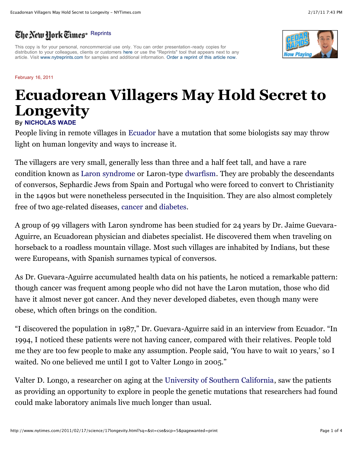## The New Hork Times<sup>®</sup> [Reprints](http://www.nytimes.com/2011/02/17/science/17longevity.html?sq=&st=cse&scp=5&pagewanted=print#)

This copy is for your personal, noncommercial use only. You can order presentation-ready copies for distribution to your colleagues, clients or customers [here](http://www.nytimes.com/2011/02/17/science/17longevity.html?sq=&st=cse&scp=5&pagewanted=print#) or use the "Reprints" tool that appears next to any article. Visit [www.nytreprints.com](http://www.nytreprints.com/) for samples and additional information. [Order a reprint of this article now.](http://www.nytimes.com/2011/02/17/science/17longevity.html?sq=&st=cse&scp=5&pagewanted=print#)

## February 16, 2011

## **Ecuadorean Villagers May Hold Secret to Longevity**

**By [NICHOLAS WADE](http://topics.nytimes.com/top/reference/timestopics/people/w/nicholas_wade/index.html?inline=nyt-per)**

People living in remote villages in [Ecuador](http://topics.nytimes.com/top/news/international/countriesandterritories/ecuador/index.html?inline=nyt-geo) have a mutation that some biologists say may throw light on human longevity and ways to increase it.

The villagers are very small, generally less than three and a half feet tall, and have a rare condition known as [Laron syndrome](http://en.wikipedia.org/wiki/Laron_syndrome) or Laron-type [dwarfism.](http://health.nytimes.com/health/guides/disease/growth-hormone-deficiency/overview.html?inline=nyt-classifier) They are probably the descendants of conversos, Sephardic Jews from Spain and Portugal who were forced to convert to Christianity in the 1490s but were nonetheless persecuted in the Inquisition. They are also almost completely free of two age-related diseases, [cancer](http://health.nytimes.com/health/guides/disease/cancer/overview.html?inline=nyt-classifier) and [diabetes.](http://health.nytimes.com/health/guides/disease/diabetes/overview.html?inline=nyt-classifier)

A group of 99 villagers with Laron syndrome has been studied for 24 years by Dr. Jaime Guevara-Aguirre, an Ecuadorean physician and diabetes specialist. He discovered them when traveling on horseback to a roadless mountain village. Most such villages are inhabited by Indians, but these were Europeans, with Spanish surnames typical of conversos.

As Dr. Guevara-Aguirre accumulated health data on his patients, he noticed a remarkable pattern: though cancer was frequent among people who did not have the Laron mutation, those who did have it almost never got cancer. And they never developed diabetes, even though many were obese, which often brings on the condition.

"I discovered the population in 1987," Dr. Guevara-Aguirre said in an interview from Ecuador. "In 1994, I noticed these patients were not having cancer, compared with their relatives. People told me they are too few people to make any assumption. People said, 'You have to wait 10 years,' so I waited. No one believed me until I got to Valter Longo in 2005."

Valter D. Longo, a researcher on aging at the [University of Southern California,](http://topics.nytimes.com/top/reference/timestopics/organizations/u/university_of_southern_california/index.html?inline=nyt-org) saw the patients as providing an opportunity to explore in people the genetic mutations that researchers had found could make laboratory animals live much longer than usual.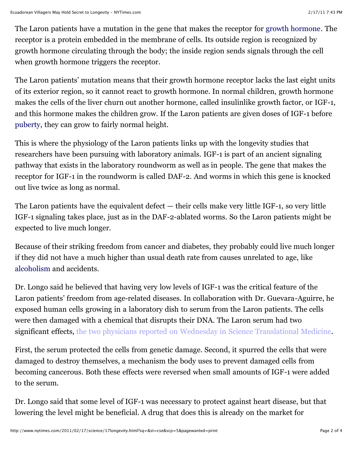The Laron patients have a mutation in the gene that makes the receptor for [growth hormone](http://health.nytimes.com/health/guides/test/growth-hormone/overview.html?inline=nyt-classifier). The receptor is a protein embedded in the membrane of cells. Its outside region is recognized by growth hormone circulating through the body; the inside region sends signals through the cell when growth hormone triggers the receptor.

The Laron patients' mutation means that their growth hormone receptor lacks the last eight units of its exterior region, so it cannot react to growth hormone. In normal children, growth hormone makes the cells of the liver churn out another hormone, called insulinlike growth factor, or IGF-1, and this hormone makes the children grow. If the Laron patients are given doses of IGF-1 before [puberty](http://health.nytimes.com/health/guides/specialtopic/puberty-and-adolescence/overview.html?inline=nyt-classifier), they can grow to fairly normal height.

This is where the physiology of the Laron patients links up with the longevity studies that researchers have been pursuing with laboratory animals. IGF-1 is part of an ancient signaling pathway that exists in the laboratory roundworm as well as in people. The gene that makes the receptor for IGF-1 in the roundworm is called DAF-2. And worms in which this gene is knocked out live twice as long as normal.

The Laron patients have the equivalent defect — their cells make very little IGF-1, so very little IGF-1 signaling takes place, just as in the DAF-2-ablated worms. So the Laron patients might be expected to live much longer.

Because of their striking freedom from cancer and diabetes, they probably could live much longer if they did not have a much higher than usual death rate from causes unrelated to age, like [alcoholism](http://health.nytimes.com/health/guides/disease/alcoholism/overview.html?inline=nyt-classifier) and accidents.

Dr. Longo said he believed that having very low levels of IGF-1 was the critical feature of the Laron patients' freedom from age-related diseases. In collaboration with Dr. Guevara-Aguirre, he exposed human cells growing in a laboratory dish to serum from the Laron patients. The cells were then damaged with a chemical that disrupts their DNA. The Laron serum had two significant effects, [the two physicians reported on Wednesday in Science Translational Medicine.](http://stm.sciencemag.org/content/3/70/70ra13.abstract)

First, the serum protected the cells from genetic damage. Second, it spurred the cells that were damaged to destroy themselves, a mechanism the body uses to prevent damaged cells from becoming cancerous. Both these effects were reversed when small amounts of IGF-1 were added to the serum.

Dr. Longo said that some level of IGF-1 was necessary to protect against heart disease, but that lowering the level might be beneficial. A drug that does this is already on the market for